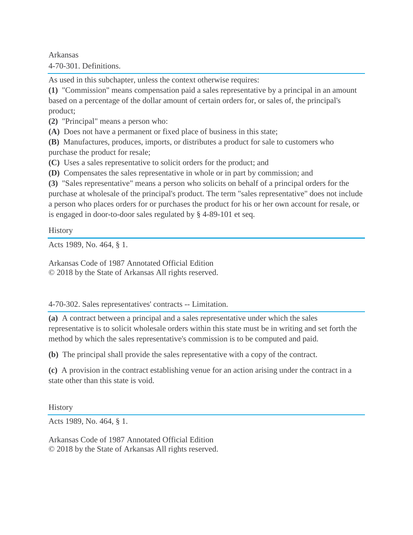Arkansas 4-70-301. Definitions.

As used in this subchapter, unless the context otherwise requires:

**(1)** "Commission" means compensation paid a sales representative by a principal in an amount based on a percentage of the dollar amount of certain orders for, or sales of, the principal's product;

**(2)** "Principal" means a person who:

**(A)** Does not have a permanent or fixed place of business in this state;

**(B)** Manufactures, produces, imports, or distributes a product for sale to customers who purchase the product for resale;

**(C)** Uses a sales representative to solicit orders for the product; and

**(D)** Compensates the sales representative in whole or in part by commission; and

**(3)** "Sales representative" means a person who solicits on behalf of a principal orders for the purchase at wholesale of the principal's product. The term "sales representative" does not include a person who places orders for or purchases the product for his or her own account for resale, or is engaged in door-to-door sales regulated by § 4-89-101 et seq.

**History** 

Acts 1989, No. 464, § 1.

Arkansas Code of 1987 Annotated Official Edition © 2018 by the State of Arkansas All rights reserved.

## 4-70-302. Sales representatives' contracts -- Limitation.

**(a)** A contract between a principal and a sales representative under which the sales representative is to solicit wholesale orders within this state must be in writing and set forth the method by which the sales representative's commission is to be computed and paid.

**(b)** The principal shall provide the sales representative with a copy of the contract.

**(c)** A provision in the contract establishing venue for an action arising under the contract in a state other than this state is void.

**History** 

Acts 1989, No. 464, § 1.

Arkansas Code of 1987 Annotated Official Edition © 2018 by the State of Arkansas All rights reserved.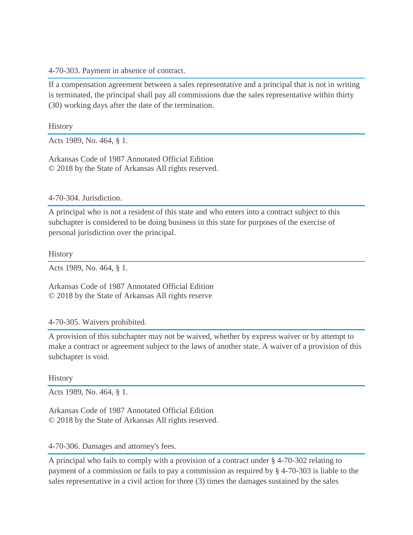4-70-303. Payment in absence of contract.

If a compensation agreement between a sales representative and a principal that is not in writing is terminated, the principal shall pay all commissions due the sales representative within thirty (30) working days after the date of the termination.

**History** 

Acts 1989, No. 464, § 1.

Arkansas Code of 1987 Annotated Official Edition © 2018 by the State of Arkansas All rights reserved.

4-70-304. Jurisdiction.

A principal who is not a resident of this state and who enters into a contract subject to this subchapter is considered to be doing business in this state for purposes of the exercise of personal jurisdiction over the principal.

**History** 

Acts 1989, No. 464, § 1.

Arkansas Code of 1987 Annotated Official Edition © 2018 by the State of Arkansas All rights reserve

## 4-70-305. Waivers prohibited.

A provision of this subchapter may not be waived, whether by express waiver or by attempt to make a contract or agreement subject to the laws of another state. A waiver of a provision of this subchapter is void.

## **History**

Acts 1989, No. 464, § 1.

Arkansas Code of 1987 Annotated Official Edition © 2018 by the State of Arkansas All rights reserved.

## 4-70-306. Damages and attorney's fees.

A principal who fails to comply with a provision of a contract under § 4-70-302 relating to payment of a commission or fails to pay a commission as required by § 4-70-303 is liable to the sales representative in a civil action for three (3) times the damages sustained by the sales